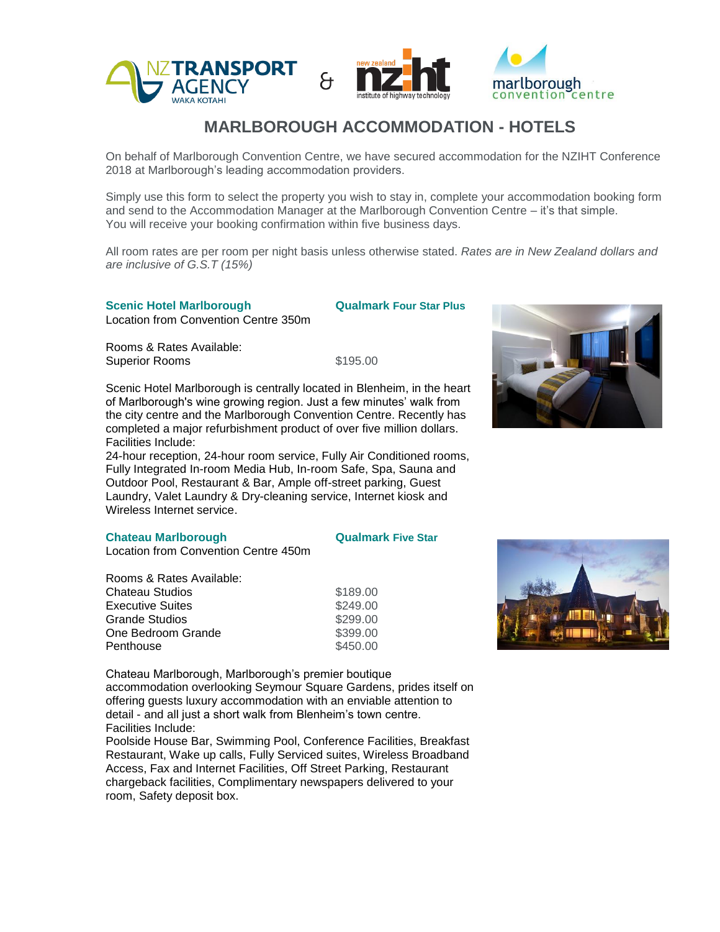

# **MARLBOROUGH ACCOMMODATION - HOTELS**

On behalf of Marlborough Convention Centre, we have secured accommodation for the NZIHT Conference 2018 at Marlborough's leading accommodation providers.

Simply use this form to select the property you wish to stay in, complete your accommodation booking form and send to the Accommodation Manager at the Marlborough Convention Centre – it's that simple. You will receive your booking confirmation within five business days.

All room rates are per room per night basis unless otherwise stated. *Rates are in New Zealand dollars and are inclusive of G.S.T (15%)*

## **Scenic Hotel Marlborough Qualmark Four Star Plus**

Location from Convention Centre 350m

Rooms & Rates Available:

Superior Rooms \$195.00

Scenic Hotel Marlborough is centrally located in Blenheim, in the heart of Marlborough's wine growing region. Just a few minutes' walk from the city centre and the Marlborough Convention Centre. Recently has completed a major refurbishment product of over five million dollars. Facilities Include:

24-hour reception, 24-hour room service, Fully Air Conditioned rooms, Fully Integrated In-room Media Hub, In-room Safe, Spa, Sauna and Outdoor Pool, Restaurant & Bar, Ample off-street parking, Guest Laundry, Valet Laundry & Dry-cleaning service, Internet kiosk and Wireless Internet service.

#### **Chateau Marlborough Chateau Marlborough Chateau Avec Star**

**Penthouse** 

Location from Convention Centre 450m

Rooms & Rates Available: Chateau Studios Executive Suites Grande Studios One Bedroom Grande

\$189.00 \$249.00 \$299.00 \$399.00 \$450.00

Chateau Marlborough, Marlborough's premier boutique accommodation overlooking Seymour Square Gardens, prides itself on offering guests luxury accommodation with an enviable attention to detail - and all just a short walk from Blenheim's town centre. Facilities Include:

Poolside House Bar, Swimming Pool, Conference Facilities, Breakfast Restaurant, Wake up calls, Fully Serviced suites, Wireless Broadband Access, Fax and Internet Facilities, Off Street Parking, Restaurant chargeback facilities, Complimentary newspapers delivered to your room, Safety deposit box.



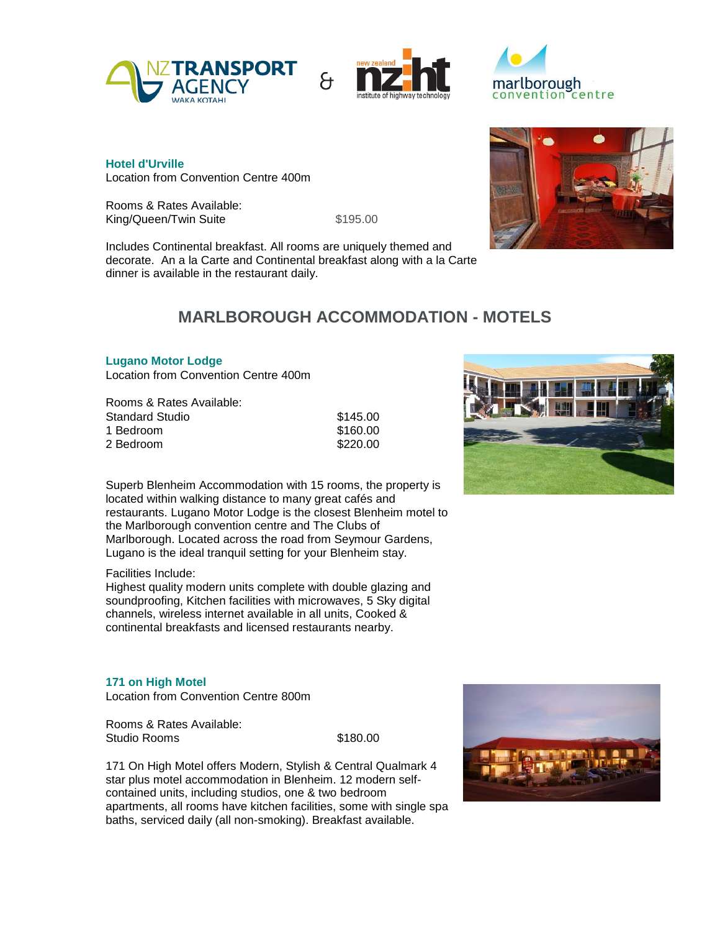





**Hotel d'Urville** Location from Convention Centre 400m

Rooms & Rates Available: King/Queen/Twin Suite \$195.00

Includes Continental breakfast. All rooms are uniquely themed and decorate. An a la Carte and Continental breakfast along with a la Carte dinner is available in the restaurant daily.

# **MARLBOROUGH ACCOMMODATION - MOTELS**

## **Lugano Motor Lodge**

Location from Convention Centre 400m

Rooms & Rates Available: Standard Studio 1 Bedroom 2 Bedroom

\$145.00 \$160.00 \$220.00

Superb Blenheim Accommodation with 15 rooms, the property is located within walking distance to many great cafés and restaurants. Lugano Motor Lodge is the closest Blenheim motel to the Marlborough convention centre and The Clubs of Marlborough. Located across the road from Seymour Gardens, Lugano is the ideal tranquil setting for your Blenheim stay.

## Facilities Include:

Highest quality modern units complete with double glazing and soundproofing, Kitchen facilities with microwaves, 5 Sky digital channels, wireless internet available in all units, Cooked & continental breakfasts and licensed restaurants nearby.

**171 on High Motel**  Location from Convention Centre 800m

Rooms & Rates Available: Studio Rooms \$180.00

171 On High Motel offers Modern, Stylish & Central Qualmark 4 star plus motel accommodation in Blenheim. 12 modern selfcontained units, including studios, one & two bedroom apartments, all rooms have kitchen facilities, some with single spa baths, serviced daily (all non-smoking). Breakfast available.





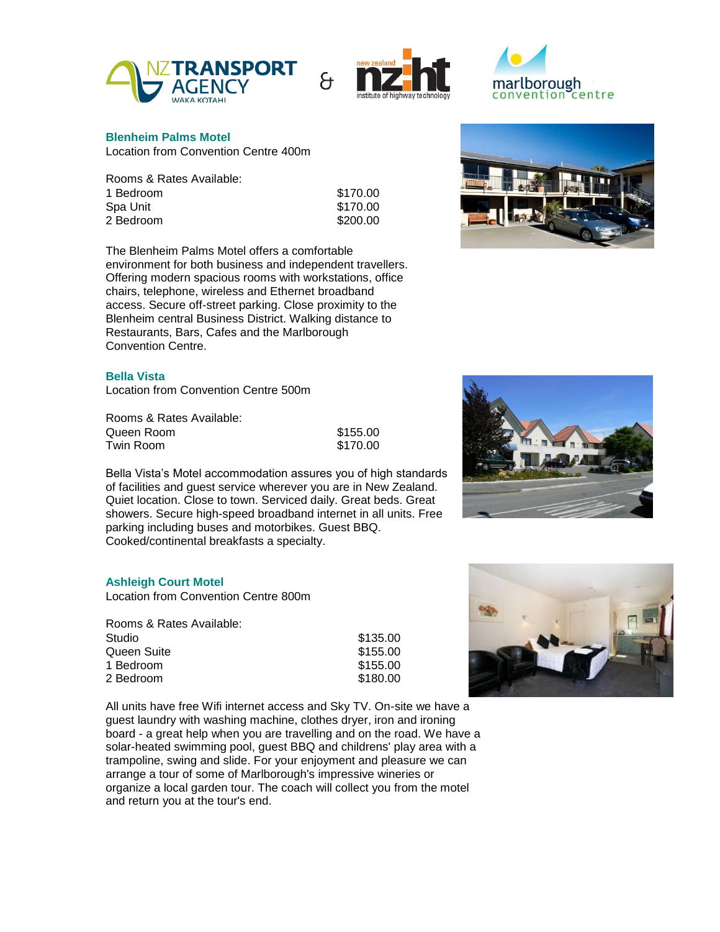





#### **Blenheim Palms Motel**

Location from Convention Centre 400m

| Rooms & Rates Available: |  |
|--------------------------|--|
| 1 Bedroom                |  |
| Spa Unit                 |  |
| 2 Bedroom                |  |
|                          |  |

| \$170.00 |
|----------|
| \$170.00 |
| \$200.00 |

\$155.00 \$170.00

The Blenheim Palms Motel offers a comfortable environment for both business and independent travellers. Offering modern spacious rooms with workstations, office chairs, telephone, wireless and Ethernet broadband access. Secure off-street parking. Close proximity to the Blenheim central Business District. Walking distance to Restaurants, Bars, Cafes and the Marlborough Convention Centre.

## **Bella Vista**

Location from Convention Centre 500m

Rooms & Rates Available: Queen Room Twin Room

Bella Vista's Motel accommodation assures you of high standards of facilities and guest service wherever you are in New Zealand. Quiet location. Close to town. Serviced daily. Great beds. Great showers. Secure high-speed broadband internet in all units. Free parking including buses and motorbikes. Guest BBQ. Cooked/continental breakfasts a specialty.

### **Ashleigh Court Motel**

Location from Convention Centre 800m

| Rooms & Rates Available: |          |
|--------------------------|----------|
| Studio                   | \$135.00 |
| Queen Suite              | \$155.00 |
| 1 Bedroom                | \$155.00 |
| 2 Bedroom                | \$180.00 |

All units have free Wifi internet access and Sky TV. On-site we have a guest laundry with washing machine, clothes dryer, iron and ironing board - a great help when you are travelling and on the road. We have a solar-heated swimming pool, guest BBQ and childrens' play area with a trampoline, swing and slide. For your enjoyment and pleasure we can arrange a tour of some of Marlborough's impressive wineries or organize a local garden tour. The coach will collect you from the motel and return you at the tour's end.